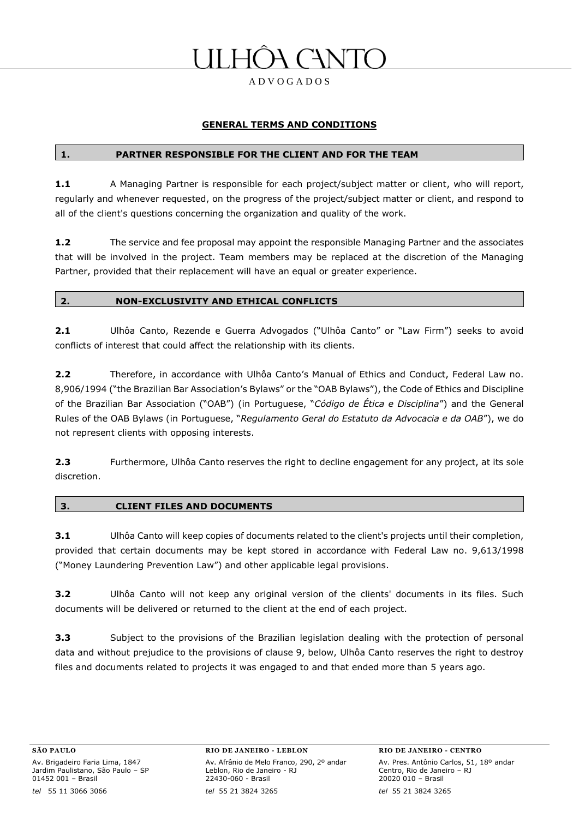# H CANT

A D V O G A D O S

#### **GENERAL TERMS AND CONDITIONS**

#### **1. PARTNER RESPONSIBLE FOR THE CLIENT AND FOR THE TEAM**

1.1 A Managing Partner is responsible for each project/subject matter or client, who will report, regularly and whenever requested, on the progress of the project/subject matter or client, and respond to all of the client's questions concerning the organization and quality of the work.

**1.2** The service and fee proposal may appoint the responsible Managing Partner and the associates that will be involved in the project. Team members may be replaced at the discretion of the Managing Partner, provided that their replacement will have an equal or greater experience.

#### **2. NON-EXCLUSIVITY AND ETHICAL CONFLICTS**

**2.1** Ulhôa Canto, Rezende e Guerra Advogados ("Ulhôa Canto" or "Law Firm") seeks to avoid conflicts of interest that could affect the relationship with its clients.

**2.2** Therefore, in accordance with Ulhôa Canto's Manual of Ethics and Conduct, Federal Law no. 8,906/1994 ("the Brazilian Bar Association's Bylaws" or the "OAB Bylaws"), the Code of Ethics and Discipline of the Brazilian Bar Association ("OAB") (in Portuguese, "*Código de Ética e Disciplina*") and the General Rules of the OAB Bylaws (in Portuguese, "*Regulamento Geral do Estatuto da Advocacia e da OAB*"), we do not represent clients with opposing interests.

**2.3** Furthermore, Ulhôa Canto reserves the right to decline engagement for any project, at its sole discretion.

#### **3. CLIENT FILES AND DOCUMENTS**

**3.1** Ulhôa Canto will keep copies of documents related to the client's projects until their completion, provided that certain documents may be kept stored in accordance with Federal Law no. 9,613/1998 ("Money Laundering Prevention Law") and other applicable legal provisions.

**3.2** Ulhôa Canto will not keep any original version of the clients' documents in its files. Such documents will be delivered or returned to the client at the end of each project.

**3.3** Subject to the provisions of the Brazilian legislation dealing with the protection of personal data and without prejudice to the provisions of clause 9, below, Ulhôa Canto reserves the right to destroy files and documents related to projects it was engaged to and that ended more than 5 years ago.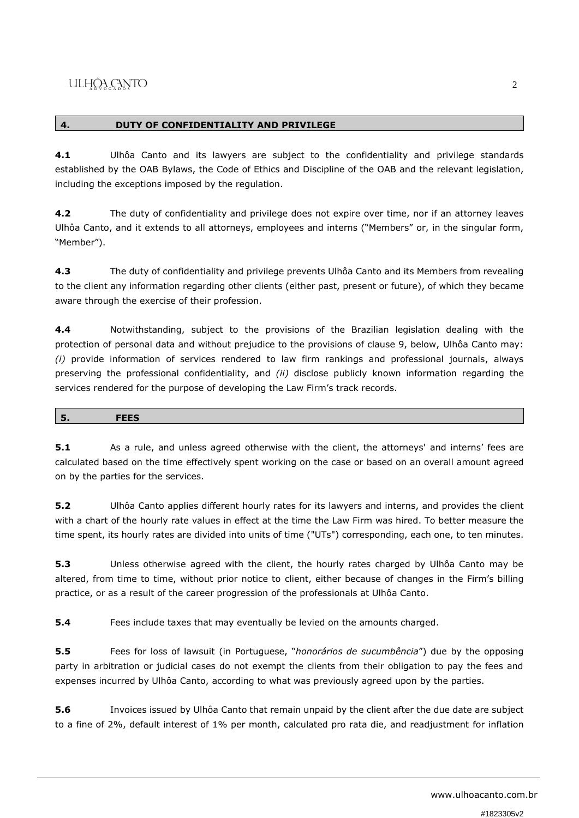### **4. DUTY OF CONFIDENTIALITY AND PRIVILEGE**

**4.1** Ulhôa Canto and its lawyers are subject to the confidentiality and privilege standards established by the OAB Bylaws, the Code of Ethics and Discipline of the OAB and the relevant legislation, including the exceptions imposed by the regulation.

**4.2** The duty of confidentiality and privilege does not expire over time, nor if an attorney leaves Ulhôa Canto, and it extends to all attorneys, employees and interns ("Members" or, in the singular form, "Member").

**4.3** The duty of confidentiality and privilege prevents Ulhôa Canto and its Members from revealing to the client any information regarding other clients (either past, present or future), of which they became aware through the exercise of their profession.

**4.4** Notwithstanding, subject to the provisions of the Brazilian legislation dealing with the protection of personal data and without prejudice to the provisions of clause 9, below, Ulhôa Canto may: *(i)* provide information of services rendered to law firm rankings and professional journals, always preserving the professional confidentiality, and *(ii)* disclose publicly known information regarding the services rendered for the purpose of developing the Law Firm's track records.

|--|

**5.1** As a rule, and unless agreed otherwise with the client, the attorneys' and interns' fees are calculated based on the time effectively spent working on the case or based on an overall amount agreed on by the parties for the services.

**5.2** Ulhôa Canto applies different hourly rates for its lawyers and interns, and provides the client with a chart of the hourly rate values in effect at the time the Law Firm was hired. To better measure the time spent, its hourly rates are divided into units of time ("UTs") corresponding, each one, to ten minutes.

**5.3** Unless otherwise agreed with the client, the hourly rates charged by Ulhôa Canto may be altered, from time to time, without prior notice to client, either because of changes in the Firm's billing practice, or as a result of the career progression of the professionals at Ulhôa Canto.

**5.4** Fees include taxes that may eventually be levied on the amounts charged.

**5.5** Fees for loss of lawsuit (in Portuguese, "*honorários de sucumbência*") due by the opposing party in arbitration or judicial cases do not exempt the clients from their obligation to pay the fees and expenses incurred by Ulhôa Canto, according to what was previously agreed upon by the parties.

**5.6** Invoices issued by Ulhôa Canto that remain unpaid by the client after the due date are subject to a fine of 2%, default interest of 1% per month, calculated pro rata die, and readjustment for inflation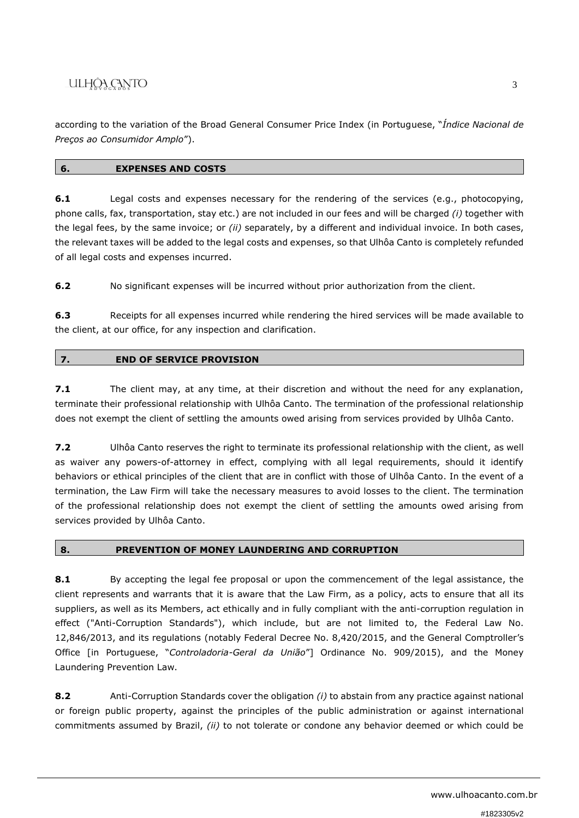## ULHÔA CANTO

according to the variation of the Broad General Consumer Price Index (in Portuguese, "*Índice Nacional de Preços ao Consumidor Amplo*").

#### **6. EXPENSES AND COSTS**

**6.1** Legal costs and expenses necessary for the rendering of the services (e.g., photocopying, phone calls, fax, transportation, stay etc.) are not included in our fees and will be charged *(i)* together with the legal fees, by the same invoice; or *(ii)* separately, by a different and individual invoice. In both cases, the relevant taxes will be added to the legal costs and expenses, so that Ulhôa Canto is completely refunded of all legal costs and expenses incurred.

**6.2** No significant expenses will be incurred without prior authorization from the client.

**6.3** Receipts for all expenses incurred while rendering the hired services will be made available to the client, at our office, for any inspection and clarification.

### **7. END OF SERVICE PROVISION**

**7.1** The client may, at any time, at their discretion and without the need for any explanation, terminate their professional relationship with Ulhôa Canto. The termination of the professional relationship does not exempt the client of settling the amounts owed arising from services provided by Ulhôa Canto.

**7.2** Ulhôa Canto reserves the right to terminate its professional relationship with the client, as well as waiver any powers-of-attorney in effect, complying with all legal requirements, should it identify behaviors or ethical principles of the client that are in conflict with those of Ulhôa Canto. In the event of a termination, the Law Firm will take the necessary measures to avoid losses to the client. The termination of the professional relationship does not exempt the client of settling the amounts owed arising from services provided by Ulhôa Canto.

### **8. PREVENTION OF MONEY LAUNDERING AND CORRUPTION**

**8.1** By accepting the legal fee proposal or upon the commencement of the legal assistance, the client represents and warrants that it is aware that the Law Firm, as a policy, acts to ensure that all its suppliers, as well as its Members, act ethically and in fully compliant with the anti-corruption regulation in effect ("Anti-Corruption Standards"), which include, but are not limited to, the Federal Law No. 12,846/2013, and its regulations (notably Federal Decree No. 8,420/2015, and the General Comptroller's Office [in Portuguese, "*Controladoria-Geral da União*"] Ordinance No. 909/2015), and the Money Laundering Prevention Law.

**8.2** Anti-Corruption Standards cover the obligation *(i)* to abstain from any practice against national or foreign public property, against the principles of the public administration or against international commitments assumed by Brazil, *(ii)* to not tolerate or condone any behavior deemed or which could be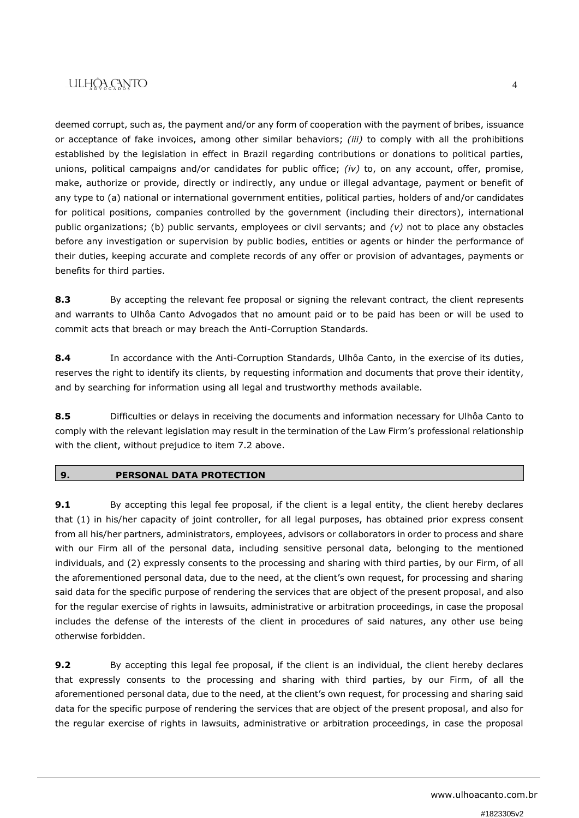## ULHÔA CANTO

deemed corrupt, such as, the payment and/or any form of cooperation with the payment of bribes, issuance or acceptance of fake invoices, among other similar behaviors; *(iii)* to comply with all the prohibitions established by the legislation in effect in Brazil regarding contributions or donations to political parties, unions, political campaigns and/or candidates for public office; *(iv)* to, on any account, offer, promise, make, authorize or provide, directly or indirectly, any undue or illegal advantage, payment or benefit of any type to (a) national or international government entities, political parties, holders of and/or candidates for political positions, companies controlled by the government (including their directors), international public organizations; (b) public servants, employees or civil servants; and *(v)* not to place any obstacles before any investigation or supervision by public bodies, entities or agents or hinder the performance of their duties, keeping accurate and complete records of any offer or provision of advantages, payments or benefits for third parties.

**8.3** By accepting the relevant fee proposal or signing the relevant contract, the client represents and warrants to Ulhôa Canto Advogados that no amount paid or to be paid has been or will be used to commit acts that breach or may breach the Anti-Corruption Standards.

**8.4** In accordance with the Anti-Corruption Standards, Ulhôa Canto, in the exercise of its duties, reserves the right to identify its clients, by requesting information and documents that prove their identity, and by searching for information using all legal and trustworthy methods available.

**8.5** Difficulties or delays in receiving the documents and information necessary for Ulhôa Canto to comply with the relevant legislation may result in the termination of the Law Firm's professional relationship with the client, without prejudice to item 7.2 above.

### **9. PERSONAL DATA PROTECTION**

**9.1** By accepting this legal fee proposal, if the client is a legal entity, the client hereby declares that (1) in his/her capacity of joint controller, for all legal purposes, has obtained prior express consent from all his/her partners, administrators, employees, advisors or collaborators in order to process and share with our Firm all of the personal data, including sensitive personal data, belonging to the mentioned individuals, and (2) expressly consents to the processing and sharing with third parties, by our Firm, of all the aforementioned personal data, due to the need, at the client's own request, for processing and sharing said data for the specific purpose of rendering the services that are object of the present proposal, and also for the regular exercise of rights in lawsuits, administrative or arbitration proceedings, in case the proposal includes the defense of the interests of the client in procedures of said natures, any other use being otherwise forbidden.

**9.2** By accepting this legal fee proposal, if the client is an individual, the client hereby declares that expressly consents to the processing and sharing with third parties, by our Firm, of all the aforementioned personal data, due to the need, at the client's own request, for processing and sharing said data for the specific purpose of rendering the services that are object of the present proposal, and also for the regular exercise of rights in lawsuits, administrative or arbitration proceedings, in case the proposal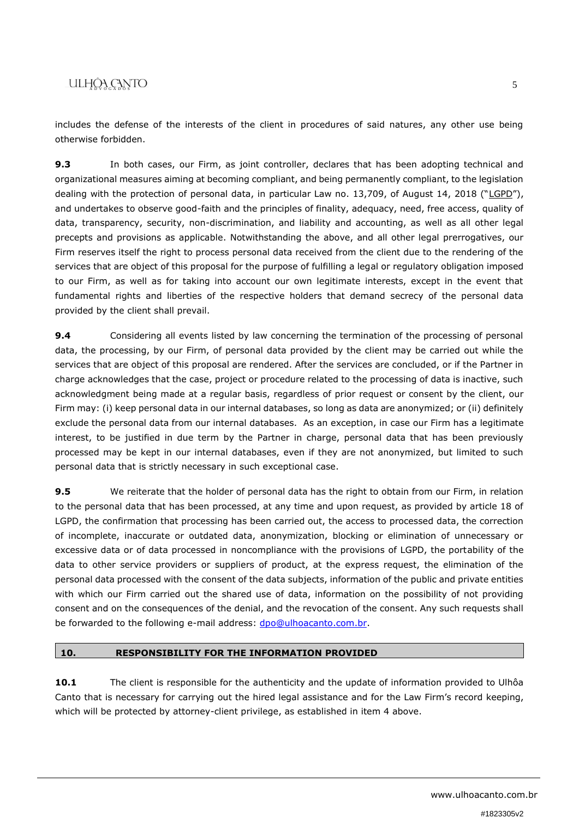## ULHÔA CANTO

includes the defense of the interests of the client in procedures of said natures, any other use being otherwise forbidden.

**9.3** In both cases, our Firm, as joint controller, declares that has been adopting technical and organizational measures aiming at becoming compliant, and being permanently compliant, to the legislation dealing with the protection of personal data, in particular Law no. 13,709, of August 14, 2018 ("LGPD"), and undertakes to observe good-faith and the principles of finality, adequacy, need, free access, quality of data, transparency, security, non-discrimination, and liability and accounting, as well as all other legal precepts and provisions as applicable. Notwithstanding the above, and all other legal prerrogatives, our Firm reserves itself the right to process personal data received from the client due to the rendering of the services that are object of this proposal for the purpose of fulfilling a legal or regulatory obligation imposed to our Firm, as well as for taking into account our own legitimate interests, except in the event that fundamental rights and liberties of the respective holders that demand secrecy of the personal data provided by the client shall prevail.

**9.4** Considering all events listed by law concerning the termination of the processing of personal data, the processing, by our Firm, of personal data provided by the client may be carried out while the services that are object of this proposal are rendered. After the services are concluded, or if the Partner in charge acknowledges that the case, project or procedure related to the processing of data is inactive, such acknowledgment being made at a regular basis, regardless of prior request or consent by the client, our Firm may: (i) keep personal data in our internal databases, so long as data are anonymized; or (ii) definitely exclude the personal data from our internal databases. As an exception, in case our Firm has a legitimate interest, to be justified in due term by the Partner in charge, personal data that has been previously processed may be kept in our internal databases, even if they are not anonymized, but limited to such personal data that is strictly necessary in such exceptional case.

**9.5** We reiterate that the holder of personal data has the right to obtain from our Firm, in relation to the personal data that has been processed, at any time and upon request, as provided by article 18 of LGPD, the confirmation that processing has been carried out, the access to processed data, the correction of incomplete, inaccurate or outdated data, anonymization, blocking or elimination of unnecessary or excessive data or of data processed in noncompliance with the provisions of LGPD, the portability of the data to other service providers or suppliers of product, at the express request, the elimination of the personal data processed with the consent of the data subjects, information of the public and private entities with which our Firm carried out the shared use of data, information on the possibility of not providing consent and on the consequences of the denial, and the revocation of the consent. Any such requests shall be forwarded to the following e-mail address: [dpo@ulhoacanto.com.br.](mailto:dpo@ulhoacanto.com.br)

#### **10. RESPONSIBILITY FOR THE INFORMATION PROVIDED**

**10.1** The client is responsible for the authenticity and the update of information provided to Ulhôa Canto that is necessary for carrying out the hired legal assistance and for the Law Firm's record keeping, which will be protected by attorney-client privilege, as established in item 4 above.